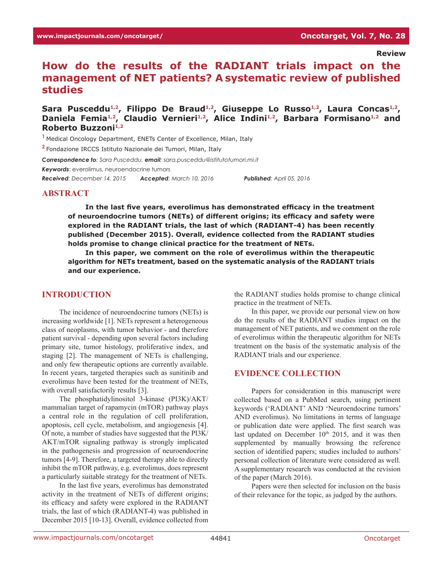**Review**

# **How do the results of the RADIANT trials impact on the management of NET patients? A systematic review of published studies**

## Sara Pusceddu<sup>1,2</sup>, Filippo De Braud<sup>1,2</sup>, Giuseppe Lo Russo<sup>1,2</sup>, Laura Concas<sup>1,2</sup>, Daniela Femia<sup>1,2</sup>, Claudio Vernieri<sup>1,2</sup>, Alice Indini<sup>1,2</sup>, Barbara Formisano<sup>1,2</sup> and **Roberto Buzzoni**<sup>1,2</sup>

**<sup>1</sup>**Medical Oncology Department, ENETs Center of Excellence, Milan, Italy

**<sup>2</sup>**Fondazione IRCCS Istituto Nazionale dei Tumori, Milan, Italy

*Correspondence to: Sara Pusceddu, email: sara.pusceddu@istitutotumori.mi.it Keywords*: everolimus, neuroendocrine tumors *Received: December 14, 2015 Accepted: March 10, 2016 Published: April 05, 2016* 

#### **Abstract**

**In the last five years, everolimus has demonstrated efficacy in the treatment of neuroendocrine tumors (NETs) of different origins; its efficacy and safety were explored in the RADIANT trials, the last of which (RADIANT-4) has been recently published (December 2015). Overall, evidence collected from the RADIANT studies holds promise to change clinical practice for the treatment of NETs.**

**In this paper, we comment on the role of everolimus within the therapeutic algorithm for NETs treatment, based on the systematic analysis of the RADIANT trials and our experience.**

#### **Introduction**

The incidence of neuroendocrine tumors (NETs) is increasing worldwide [1]. NETs represent a heterogeneous class of neoplasms, with tumor behavior - and therefore patient survival - depending upon several factors including primary site, tumor histology, proliferative index, and staging [2]. The management of NETs is challenging, and only few therapeutic options are currently available. In recent years, targeted therapies such as sunitinib and everolimus have been tested for the treatment of NETs, with overall satisfactorily results [3].

The phosphatidylinositol 3-kinase (PI3K)/AKT/ mammalian target of rapamycin (mTOR) pathway plays a central role in the regulation of cell proliferation, apoptosis, cell cycle, metabolism, and angiogenesis [4]. Of note, a number of studies have suggested that the PI3K/ AKT/mTOR signaling pathway is strongly implicated in the pathogenesis and progression of neuroendocrine tumors [4-9]. Therefore, a targeted therapy able to directly inhibit the mTOR pathway, e.g. everolimus, does represent a particularly suitable strategy for the treatment of NETs.

In the last five years, everolimus has demonstrated activity in the treatment of NETs of different origins; its efficacy and safety were explored in the RADIANT trials, the last of which (RADIANT-4) was published in December 2015 [10-13]. Overall, evidence collected from the RADIANT studies holds promise to change clinical practice in the treatment of NETs.

In this paper, we provide our personal view on how do the results of the RADIANT studies impact on the management of NET patients, and we comment on the role of everolimus within the therapeutic algorithm for NETs treatment on the basis of the systematic analysis of the RADIANT trials and our experience.

#### **Evidence collection**

Papers for consideration in this manuscript were collected based on a PubMed search, using pertinent keywords ('RADIANT' AND 'Neuroendocrine tumors' AND everolimus). No limitations in terms of language or publication date were applied. The first search was last updated on December 10<sup>th</sup> 2015, and it was then supplemented by manually browsing the reference section of identified papers; studies included to authors' personal collection of literature were considered as well. A supplementary research was conducted at the revision of the paper (March 2016).

Papers were then selected for inclusion on the basis of their relevance for the topic, as judged by the authors.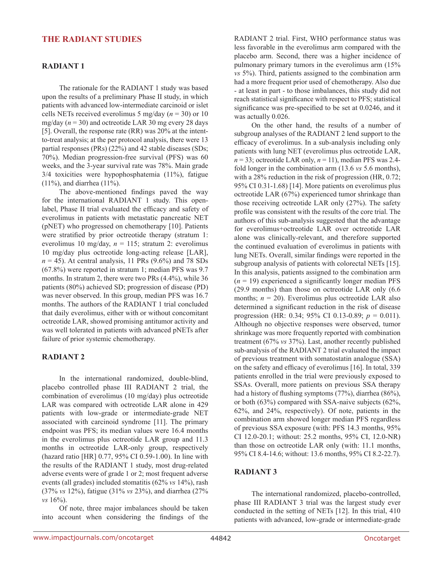# **The RADIANT studies**

#### **RADIANT 1**

The rationale for the RADIANT 1 study was based upon the results of a preliminary Phase II study, in which patients with advanced low-intermediate carcinoid or islet cells NETs received everolimus 5 mg/day (*n* = 30) or 10 mg/day  $(n = 30)$  and octreotide LAR 30 mg every 28 days [5]. Overall, the response rate (RR) was 20% at the intentto-treat analysis; at the per protocol analysis, there were 13 partial responses (PRs) (22%) and 42 stable diseases (SDs; 70%). Median progression-free survival (PFS) was 60 weeks, and the 3-year survival rate was 78%. Main grade 3/4 toxicities were hypophosphatemia (11%), fatigue (11%), and diarrhea (11%).

The above-mentioned findings paved the way for the international RADIANT 1 study. This openlabel, Phase II trial evaluated the efficacy and safety of everolimus in patients with metastatic pancreatic NET (pNET) who progressed on chemotherapy [10]. Patients were stratified by prior octreotide therapy (stratum 1: everolimus 10 mg/day, *n* = 115; stratum 2: everolimus 10 mg/day plus octreotide long-acting release [LAR],  $n = 45$ ). At central analysis, 11 PRs (9.6%) and 78 SDs (67.8%) were reported in stratum 1; median PFS was 9.7 months. In stratum 2, there were two PRs (4.4%), while 36 patients (80%) achieved SD; progression of disease (PD) was never observed. In this group, median PFS was 16.7 months. The authors of the RADIANT 1 trial concluded that daily everolimus, either with or without concomitant octreotide LAR, showed promising antitumor activity and was well tolerated in patients with advanced pNETs after failure of prior systemic chemotherapy.

# **RADIANT 2**

In the international randomized, double-blind, placebo controlled phase III RADIANT 2 trial, the combination of everolimus (10 mg/day) plus octreotide LAR was compared with octreotide LAR alone in 429 patients with low-grade or intermediate-grade NET associated with carcinoid syndrome [11]. The primary endpoint was PFS; its median values were 16.4 months in the everolimus plus octreotide LAR group and 11.3 months in octreotide LAR-only group, respectively (hazard ratio [HR] 0.77, 95% CI 0.59-1.00). In line with the results of the RADIANT 1 study, most drug-related adverse events were of grade 1 or 2; most frequent adverse events (all grades) included stomatitis (62% *vs* 14%), rash (37% *vs* 12%), fatigue (31% *vs* 23%), and diarrhea (27% *vs* 16%).

Of note, three major imbalances should be taken into account when considering the findings of the RADIANT 2 trial. First, WHO performance status was less favorable in the everolimus arm compared with the placebo arm. Second, there was a higher incidence of pulmonary primary tumors in the everolimus arm (15% *vs* 5%). Third, patients assigned to the combination arm had a more frequent prior used of chemotherapy. Also due - at least in part - to those imbalances, this study did not reach statistical significance with respect to PFS; statistical significance was pre-specified to be set at 0.0246, and it was actually 0.026.

On the other hand, the results of a number of subgroup analyses of the RADIANT 2 lend support to the efficacy of everolimus. In a sub-analysis including only patients with lung NET (everolimus plus octreotide LAR,  $n = 33$ ; octreotide LAR only,  $n = 11$ ), median PFS was 2.4fold longer in the combination arm (13.6 *vs* 5.6 months), with a 28% reduction in the risk of progression (HR, 0.72; 95% CI 0.31-1.68) [14]. More patients on everolimus plus octreotide LAR (67%) experienced tumor shrinkage than those receiving octreotide LAR only (27%). The safety profile was consistent with the results of the core trial. The authors of this sub-analysis suggested that the advantage for everolimus+octreotide LAR over octreotide LAR alone was clinically-relevant, and therefore supported the continued evaluation of everolimus in patients with lung NETs. Overall, similar findings were reported in the subgroup analysis of patients with colorectal NETs [15]. In this analysis, patients assigned to the combination arm  $(n = 19)$  experienced a significantly longer median PFS (29.9 months) than those on octreotide LAR only (6.6 months;  $n = 20$ ). Everolimus plus octreotide LAR also determined a significant reduction in the risk of disease progression (HR: 0.34; 95% CI 0.13-0.89; *p* = 0.011). Although no objective responses were observed, tumor shrinkage was more frequently reported with combination treatment (67% *vs* 37%). Last, another recently published sub-analysis of the RADIANT 2 trial evaluated the impact of previous treatment with somatostatin analogue (SSA) on the safety and efficacy of everolimus [16]. In total, 339 patients enrolled in the trial were previously exposed to SSAs. Overall, more patients on previous SSA therapy had a history of flushing symptoms (77%), diarrhea (86%), or both (63%) compared with SSA-naive subjects (62%, 62%, and 24%, respectively). Of note, patients in the combination arm showed longer median PFS regardless of previous SSA exposure (with: PFS 14.3 months, 95% CI 12.0-20.1; without: 25.2 months, 95% CI, 12.0-NR) than those on octreotide LAR only (with: 11.1 months, 95% CI 8.4-14.6; without: 13.6 months, 95% CI 8.2-22.7).

#### **RADIANT 3**

The international randomized, placebo-controlled, phase III RADIANT 3 trial was the largest study ever conducted in the setting of NETs [12]. In this trial, 410 patients with advanced, low-grade or intermediate-grade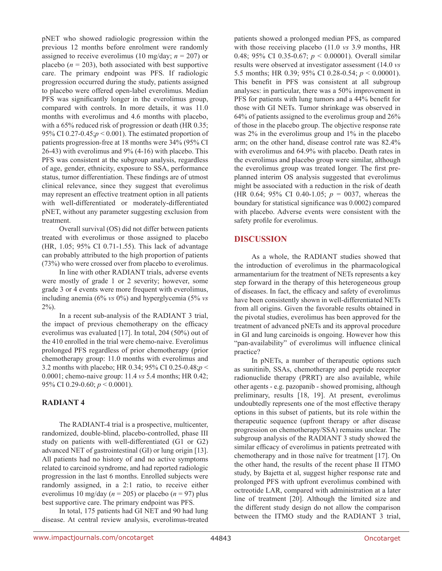pNET who showed radiologic progression within the previous 12 months before enrolment were randomly assigned to receive everolimus (10 mg/day;  $n = 207$ ) or placebo  $(n = 203)$ , both associated with best supportive care. The primary endpoint was PFS. If radiologic progression occurred during the study, patients assigned to placebo were offered open-label everolimus. Median PFS was significantly longer in the everolimus group, compared with controls. In more details, it was 11.0 months with everolimus and 4.6 months with placebo, with a 65% reduced risk of progression or death (HR 0.35; 95% CI 0.27-0.45;*p* < 0.001). The estimated proportion of patients progression-free at 18 months were 34% (95% CI 26-43) with everolimus and 9% (4-16) with placebo. This PFS was consistent at the subgroup analysis, regardless of age, gender, ethnicity, exposure to SSA, performance status, tumor differentiation. These findings are of utmost clinical relevance, since they suggest that everolimus may represent an effective treatment option in all patients with well-differentiated or moderately-differentiated pNET, without any parameter suggesting exclusion from treatment.

Overall survival (OS) did not differ between patients treated with everolimus or those assigned to placebo (HR, 1.05; 95% CI 0.71-1.55). This lack of advantage can probably attributed to the high proportion of patients (73%) who were crossed over from placebo to everolimus.

In line with other RADIANT trials, adverse events were mostly of grade 1 or 2 severity; however, some grade 3 or 4 events were more frequent with everolimus, including anemia (6% *vs* 0%) and hyperglycemia (5% *vs*  $2\%$ ).

In a recent sub-analysis of the RADIANT 3 trial, the impact of previous chemotherapy on the efficacy everolimus was evaluated [17]. In total, 204 (50%) out of the 410 enrolled in the trial were chemo-naive. Everolimus prolonged PFS regardless of prior chemotherapy (prior chemotherapy group: 11.0 months with everolimus and 3.2 months with placebo; HR 0.34; 95% CI 0.25-0.48;*p* < 0.0001; chemo-naive group: 11.4 *vs* 5.4 months; HR 0.42; 95% CI 0.29-0.60; *p* < 0.0001).

#### **RADIANT 4**

The RADIANT-4 trial is a prospective, multicenter, randomized, double-blind, placebo-controlled, phase III study on patients with well-differentiated (G1 or G2) advanced NET of gastrointestinal (GI) or lung origin [13]. All patients had no history of and no active symptoms related to carcinoid syndrome, and had reported radiologic progression in the last 6 months. Enrolled subjects were randomly assigned, in a 2:1 ratio, to receive either everolimus 10 mg/day ( $n = 205$ ) or placebo ( $n = 97$ ) plus best supportive care. The primary endpoint was PFS.

In total, 175 patients had GI NET and 90 had lung disease. At central review analysis, everolimus-treated patients showed a prolonged median PFS, as compared with those receiving placebo (11.0 *vs* 3.9 months, HR 0.48; 95% CI 0.35-0.67; *p* < 0.00001). Overall similar results were observed at investigator assessment (14.0 *vs* 5.5 months; HR 0.39; 95% CI 0.28-0.54; *p* < 0.00001). This benefit in PFS was consistent at all subgroup analyses: in particular, there was a 50% improvement in PFS for patients with lung tumors and a 44% benefit for those with GI NETs. Tumor shrinkage was observed in 64% of patients assigned to the everolimus group and 26% of those in the placebo group. The objective response rate was 2% in the everolimus group and 1% in the placebo arm; on the other hand, disease control rate was 82.4% with everolimus and 64.9% with placebo. Death rates in the everolimus and placebo group were similar, although the everolimus group was treated longer. The first preplanned interim OS analysis suggested that everolimus might be associated with a reduction in the risk of death (HR 0.64; 95% CI 0.40-1.05; *p* = 0037, whereas the boundary for statistical significance was 0.0002) compared with placebo. Adverse events were consistent with the safety profile for everolimus.

# **Discussion**

As a whole, the RADIANT studies showed that the introduction of everolimus in the pharmacological armamentarium for the treatment of NETs represents a key step forward in the therapy of this heterogeneous group of diseases. In fact, the efficacy and safety of everolimus have been consistently shown in well-differentiated NETs from all origins. Given the favorable results obtained in the pivotal studies, everolimus has been approved for the treatment of advanced pNETs and its approval procedure in GI and lung carcinoids is ongoing. However how this "pan-availability" of everolimus will influence clinical practice?

In pNETs, a number of therapeutic options such as sunitinib, SSAs, chemotherapy and peptide receptor radionuclide therapy (PRRT) are also available, while other agents - e.g. pazopanib - showed promising, although preliminary, results [18, 19]. At present, everolimus undoubtedly represents one of the most effective therapy options in this subset of patients, but its role within the therapeutic sequence (upfront therapy or after disease progression on chemotherapy/SSA) remains unclear. The subgroup analysis of the RADIANT 3 study showed the similar efficacy of everolimus in patients pretreated with chemotherapy and in those naïve for treatment [17]. On the other hand, the results of the recent phase II ITMO study, by Bajetta et al, suggest higher response rate and prolonged PFS with upfront everolimus combined with octreotide LAR, compared with administration at a later line of treatment [20]. Although the limited size and the different study design do not allow the comparison between the ITMO study and the RADIANT 3 trial,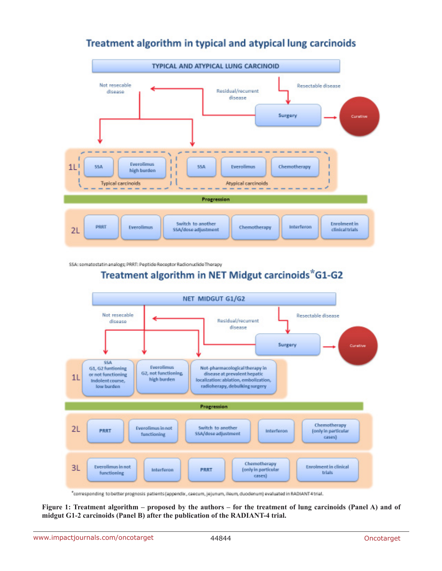

# Treatment algorithm in typical and atypical lung carcinoids

SSA: somatostatin analogs; PRRT: Peptide Receptor Radionuclide Therapy

# Treatment algorithm in NET Midgut carcinoids\*G1-G2



"corresponding to better prognosis patients (appendix, caecum, jejunum, ileum, duodenum) evaluated in RADIANT4trial.

**Figure 1: Treatment algorithm – proposed by the authors – for the treatment of lung carcinoids (Panel A) and of midgut G1-2 carcinoids (Panel B) after the publication of the RADIANT-4 trial.**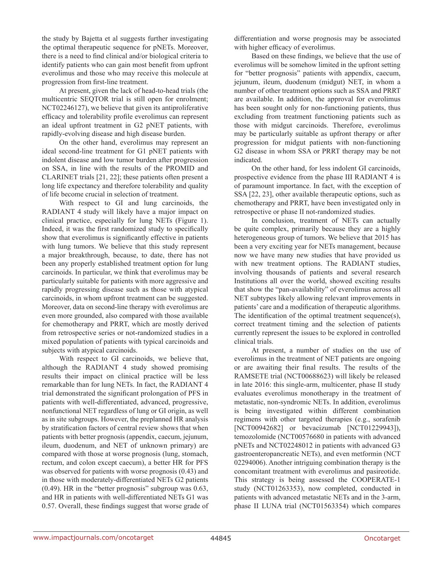the study by Bajetta et al suggests further investigating the optimal therapeutic sequence for pNETs. Moreover, there is a need to find clinical and/or biological criteria to identify patients who can gain most benefit from upfront everolimus and those who may receive this molecule at progression from first-line treatment.

At present, given the lack of head-to-head trials (the multicentric SEQTOR trial is still open for enrolment; NCT02246127), we believe that given its antiproliferative efficacy and tolerability profile everolimus can represent an ideal upfront treatment in G2 pNET patients, with rapidly-evolving disease and high disease burden.

On the other hand, everolimus may represent an ideal second-line treatment for G1 pNET patients with indolent disease and low tumor burden after progression on SSA, in line with the results of the PROMID and CLARINET trials [21, 22]; these patients often present a long life expectancy and therefore tolerability and quality of life become crucial in selection of treatment.

With respect to GI and lung carcinoids, the RADIANT 4 study will likely have a major impact on clinical practice, especially for lung NETs (Figure 1). Indeed, it was the first randomized study to specifically show that everolimus is significantly effective in patients with lung tumors. We believe that this study represent a major breakthrough, because, to date, there has not been any properly established treatment option for lung carcinoids. In particular, we think that everolimus may be particularly suitable for patients with more aggressive and rapidly progressing disease such as those with atypical carcinoids, in whom upfront treatment can be suggested. Moreover, data on second-line therapy with everolimus are even more grounded, also compared with those available for chemotherapy and PRRT, which are mostly derived from retrospective series or not-randomized studies in a mixed population of patients with typical carcinoids and subjects with atypical carcinoids.

With respect to GI carcinoids, we believe that, although the RADIANT 4 study showed promising results their impact on clinical practice will be less remarkable than for lung NETs. In fact, the RADIANT 4 trial demonstrated the significant prolongation of PFS in patients with well-differentiated, advanced, progressive, nonfunctional NET regardless of lung or GI origin, as well as in site subgroups. However, the preplanned HR analysis by stratification factors of central review shows that when patients with better prognosis (appendix, caecum, jejunum, ileum, duodenum, and NET of unknown primary) are compared with those at worse prognosis (lung, stomach, rectum, and colon except caecum), a better HR for PFS was observed for patients with worse prognosis (0.43) and in those with moderately-differentiated NETs G2 patients (0.49). HR in the "better prognosis" subgroup was 0.63, and HR in patients with well-differentiated NETs G1 was 0.57. Overall, these findings suggest that worse grade of differentiation and worse prognosis may be associated with higher efficacy of everolimus.

Based on these findings, we believe that the use of everolimus will be somehow limited in the upfront setting for "better prognosis" patients with appendix, caecum, jejunum, ileum, duodenum (midgut) NET, in whom a number of other treatment options such as SSA and PRRT are available. In addition, the approval for everolimus has been sought only for non-functioning patients, thus excluding from treatment functioning patients such as those with midgut carcinoids. Therefore, everolimus may be particularly suitable as upfront therapy or after progression for midgut patients with non-functioning G2 disease in whom SSA or PRRT therapy may be not indicated.

On the other hand, for less indolent GI carcinoids, prospective evidence from the phase III RADIANT 4 is of paramount importance. In fact, with the exception of SSA [22, 23], other available therapeutic options, such as chemotherapy and PRRT, have been investigated only in retrospective or phase II not-randomized studies.

In conclusion, treatment of NETs can actually be quite complex, primarily because they are a highly heterogeneous group of tumors. We believe that 2015 has been a very exciting year for NETs management, because now we have many new studies that have provided us with new treatment options. The RADIANT studies, involving thousands of patients and several research Institutions all over the world, showed exciting results that show the "pan-availability" of everolimus across all NET subtypes likely allowing relevant improvements in patients' care and a modification of therapeutic algorithms. The identification of the optimal treatment sequence(s), correct treatment timing and the selection of patients currently represent the issues to be explored in controlled clinical trials.

At present, a number of studies on the use of everolimus in the treatment of NET patients are ongoing or are awaiting their final results. The results of the RAMSETE trial (NCT00688623) will likely be released in late 2016: this single-arm, multicenter, phase II study evaluates everolimus monotherapy in the treatment of metastatic, non-syndromic NETs. In addition, everolimus is being investigated within different combination regimens with other targeted therapies (e.g., sorafenib [NCT00942682] or bevacizumab [NCT01229943]), temozolomide (NCT00576680 in patients with advanced pNETs and NCT02248012 in patients with advanced G3 gastroenteropancreatic NETs), and even metformin (NCT 02294006). Another intriguing combination therapy is the concomitant treatment with everolimus and pasireotide. This strategy is being assessed the COOPERATE-1 study (NCT01263353), now completed, conducted in patients with advanced metastatic NETs and in the 3-arm, phase II LUNA trial (NCT01563354) which compares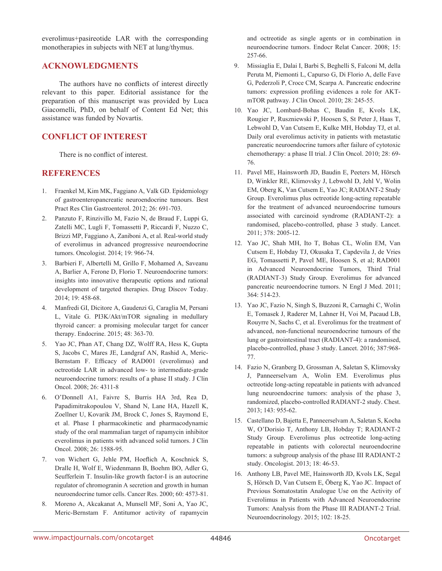everolimus+pasireotide LAR with the corresponding monotherapies in subjects with NET at lung/thymus.

# **Acknowledgments**

The authors have no conflicts of interest directly relevant to this paper. Editorial assistance for the preparation of this manuscript was provided by Luca Giacomelli, PhD, on behalf of Content Ed Net; this assistance was funded by Novartis.

# **Conflict of Interest**

There is no conflict of interest.

#### **References**

- 1. Fraenkel M, Kim MK, Faggiano A, Valk GD. Epidemiology of gastroenteropancreatic neuroendocrine tumours. Best Pract Res Clin Gastroenterol. 2012; 26: 691-703.
- 2. Panzuto F, Rinzivillo M, Fazio N, de Braud F, Luppi G, Zatelli MC, Lugli F, Tomassetti P, Riccardi F, Nuzzo C, Brizzi MP, Faggiano A, Zaniboni A, et al. Real-world study of everolimus in advanced progressive neuroendocrine tumors. Oncologist. 2014; 19: 966-74.
- 3. Barbieri F, Albertelli M, Grillo F, Mohamed A, Saveanu A, Barlier A, Ferone D, Florio T. Neuroendocrine tumors: insights into innovative therapeutic options and rational development of targeted therapies. Drug Discov Today. 2014; 19: 458-68.
- 4. Manfredi GI, Dicitore A, Gaudenzi G, Caraglia M, Persani L, Vitale G. PI3K/Akt/mTOR signaling in medullary thyroid cancer: a promising molecular target for cancer therapy. Endocrine. 2015; 48: 363-70.
- 5. Yao JC, Phan AT, Chang DZ, Wolff RA, Hess K, Gupta S, Jacobs C, Mares JE, Landgraf AN, Rashid A, Meric-Bernstam F. Efficacy of RAD001 (everolimus) and octreotide LAR in advanced low- to intermediate-grade neuroendocrine tumors: results of a phase II study. J Clin Oncol. 2008; 26: 4311-8
- 6. O'Donnell A1, Faivre S, Burris HA 3rd, Rea D, Papadimitrakopoulou V, Shand N, Lane HA, Hazell K, Zoellner U, Kovarik JM, Brock C, Jones S, Raymond E, et al. Phase I pharmacokinetic and pharmacodynamic study of the oral mammalian target of rapamycin inhibitor everolimus in patients with advanced solid tumors. J Clin Oncol. 2008; 26: 1588-95.
- 7. von Wichert G, Jehle PM, Hoeflich A, Koschnick S, Dralle H, Wolf E, Wiedenmann B, Boehm BO, Adler G, Seufferlein T. Insulin-like growth factor-I is an autocrine regulator of chromogranin A secretion and growth in human neuroendocrine tumor cells. Cancer Res. 2000; 60: 4573-81.
- 8. Moreno A, Akcakanat A, Munsell MF, Soni A, Yao JC, Meric-Bernstam F. Antitumor activity of rapamycin

and octreotide as single agents or in combination in neuroendocrine tumors. Endocr Relat Cancer. 2008; 15: 257-66.

- 9. Missiaglia E, Dalai I, Barbi S, Beghelli S, Falconi M, della Peruta M, Piemonti L, Capurso G, Di Florio A, delle Fave G, Pederzoli P, Croce CM, Scarpa A. Pancreatic endocrine tumors: expression profiling evidences a role for AKTmTOR pathway. J Clin Oncol. 2010; 28: 245-55.
- 10. Yao JC, Lombard-Bohas C, Baudin E, Kvols LK, Rougier P, Ruszniewski P, Hoosen S, St Peter J, Haas T, Lebwohl D, Van Cutsem E, Kulke MH, Hobday TJ, et al. Daily oral everolimus activity in patients with metastatic pancreatic neuroendocrine tumors after failure of cytotoxic chemotherapy: a phase II trial. J Clin Oncol. 2010; 28: 69- 76.
- 11. Pavel ME, Hainsworth JD, Baudin E, Peeters M, Hörsch D, Winkler RE, Klimovsky J, Lebwohl D, Jehl V, Wolin EM, Oberg K, Van Cutsem E, Yao JC; RADIANT-2 Study Group. Everolimus plus octreotide long-acting repeatable for the treatment of advanced neuroendocrine tumours associated with carcinoid syndrome (RADIANT-2): a randomised, placebo-controlled, phase 3 study. Lancet. 2011; 378: 2005-12.
- 12. Yao JC, Shah MH, Ito T, Bohas CL, Wolin EM, Van Cutsem E, Hobday TJ, Okusaka T, Capdevila J, de Vries EG, Tomassetti P, Pavel ME, Hoosen S, et al; RAD001 in Advanced Neuroendocrine Tumors, Third Trial (RADIANT-3) Study Group. Everolimus for advanced pancreatic neuroendocrine tumors. N Engl J Med. 2011; 364: 514-23.
- 13. Yao JC, Fazio N, Singh S, Buzzoni R, Carnaghi C, Wolin E, Tomasek J, Raderer M, Lahner H, Voi M, Pacaud LB, Rouyrre N, Sachs C, et al. Everolimus for the treatment of advanced, non-functional neuroendocrine tumours of the lung or gastrointestinal tract (RADIANT-4): a randomised, placebo-controlled, phase 3 study. Lancet. 2016; 387:968- 77.
- 14. Fazio N, Granberg D, Grossman A, Saletan S, Klimovsky J, Panneerselvam A, Wolin EM. Everolimus plus octreotide long-acting repeatable in patients with advanced lung neuroendocrine tumors: analysis of the phase 3, randomized, placebo-controlled RADIANT-2 study. Chest. 2013; 143: 955-62.
- 15. Castellano D, Bajetta E, Panneerselvam A, Saletan S, Kocha W, O'Dorisio T, Anthony LB, Hobday T; RADIANT-2 Study Group. Everolimus plus octreotide long-acting repeatable in patients with colorectal neuroendocrine tumors: a subgroup analysis of the phase III RADIANT-2 study. Oncologist. 2013; 18: 46-53.
- 16. Anthony LB, Pavel ME, Hainsworth JD, Kvols LK, Segal S, Hörsch D, Van Cutsem E, Öberg K, Yao JC. Impact of Previous Somatostatin Analogue Use on the Activity of Everolimus in Patients with Advanced Neuroendocrine Tumors: Analysis from the Phase III RADIANT-2 Trial. Neuroendocrinology. 2015; 102: 18-25.